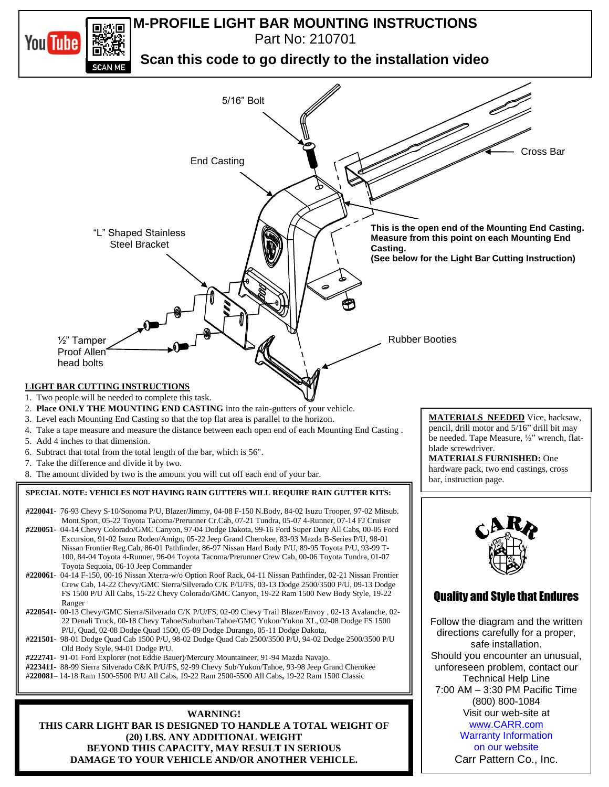

**BEYOND THIS CAPACITY, MAY RESULT IN SERIOUS DAMAGE TO YOUR VEHICLE AND/OR ANOTHER VEHICLE.**

on our website Carr Pattern Co., Inc.